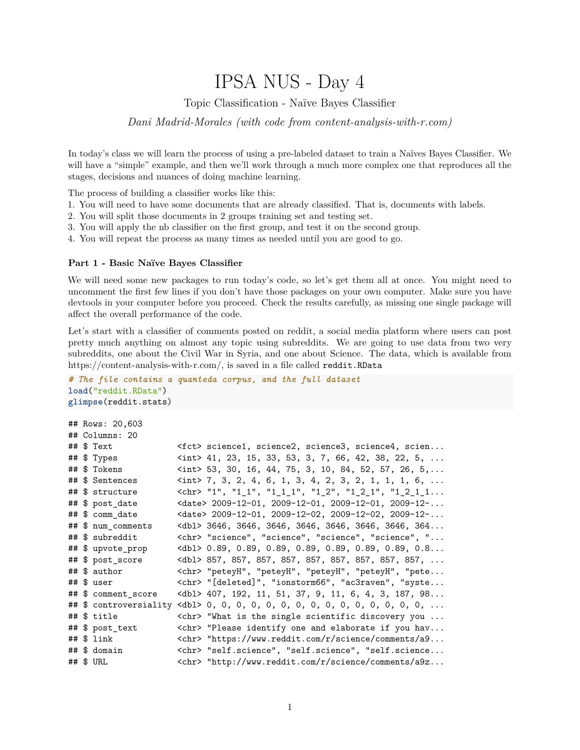# IPSA NUS - Day 4

# Topic Classification - Naïve Bayes Classifier

*Dani Madrid-Morales (with code from content-analysis-with-r.com)*

In today's class we will learn the process of using a pre-labeled dataset to train a Naïves Bayes Classifier. We will have a "simple" example, and then we'll work through a much more complex one that reproduces all the stages, decisions and nuances of doing machine learning.

The process of building a classifier works like this:

- 1. You will need to have some documents that are already classified. That is, documents with labels.
- 2. You will split those documents in 2 groups training set and testing set.
- 3. You will apply the nb classifier on the first group, and test it on the second group.
- 4. You will repeat the process as many times as needed until you are good to go.

#### **Part 1 - Basic Naïve Bayes Classifier**

We will need some new packages to run today's code, so let's get them all at once. You might need to uncomment the first few lines if you don't have those packages on your own computer. Make sure you have devtools in your computer before you proceed. Check the results carefully, as missing one single package will affect the overall performance of the code.

Let's start with a classifier of comments posted on reddit, a social media platform where users can post pretty much anything on almost any topic using subreddits. We are going to use data from two very subreddits, one about the Civil War in Syria, and one about Science. The data, which is available from [https://content-analysis-with-r.com/,](https://content-analysis-with-r.com/) is saved in a file called reddit.RData

```
# The file contains a quanteda corpus, and the full dataset
load("reddit.RData")
glimpse(reddit.stats)
```

```
## Rows: 20,603
## Columns: 20
## $ Text <fct> science1, science2, science3, science4, scien...
## $ Types <int> 41, 23, 15, 33, 53, 3, 7, 66, 42, 38, 22, 5, ...
## $ Tokens <int> 53, 30, 16, 44, 75, 3, 10, 84, 52, 57, 26, 5,...
## $ Sentences <int> 7, 3, 2, 4, 6, 1, 3, 4, 2, 3, 2, 1, 1, 1, 6, ...
## $ structure \langle \text{chr} \rangle "1", "1_1", "1_1_1", "1_2", "1_2_1", "1_2_1_1...
## $ post_date <date> 2009-12-01, 2009-12-01, 2009-12-01, 2009-12-...
## $ comm_date <date> 2009-12-01, 2009-12-02, 2009-12-02, 2009-12-...
## $ num_comments <dbl> 3646, 3646, 3646, 3646, 3646, 3646, 3646, 364...
## $ subreddit <chr> "science", "science", "science", "science", "...
## $ upvote_prop <dbl> 0.89, 0.89, 0.89, 0.89, 0.89, 0.89, 0.89, 0.8...
## $ post_score <dbl> 857, 857, 857, 857, 857, 857, 857, 857, 857, ...
## $ author <chr> "peteyH", "peteyH", "peteyH", "peteyH", "pete...
## $ user <chr> "[deleted]", "ionstorm66", "ac3raven", "syste...
## $ comment_score <dbl> 407, 192, 11, 51, 37, 9, 11, 6, 4, 3, 187, 98...
## $ controversiality <dbl> 0, 0, 0, 0, 0, 0, 0, 0, 0, 0, 0, 0, 0, 0, 0, ...
## $ title \langle \text{chr} \rangle "What is the single scientific discovery you ...
## $ post_text <chr> "Please identify one and elaborate if you hav...
## $ link <chr> "https://www.reddit.com/r/science/comments/a9...
## $ domain <chr> "self.science", "self.science", "self.science...
## $ URL <chr> "http://www.reddit.com/r/science/comments/a9z...
```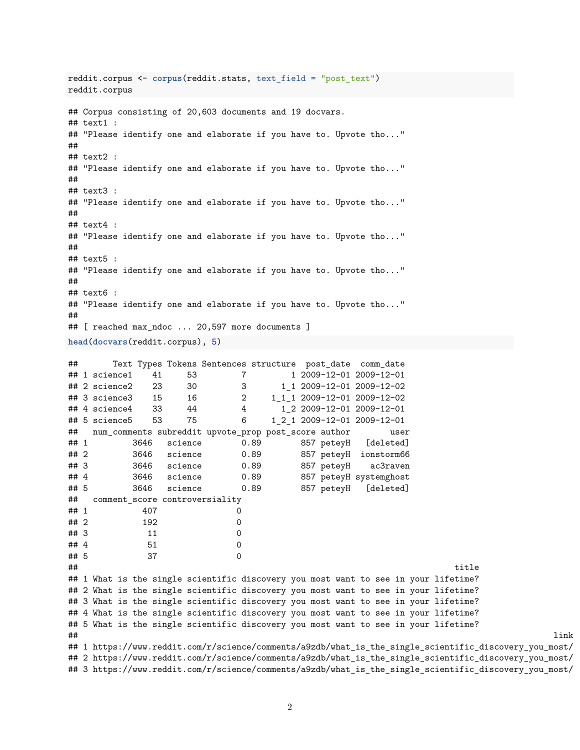reddit.corpus <- **corpus**(reddit.stats, text\_field = "post\_text") reddit.corpus ## Corpus consisting of 20,603 documents and 19 docvars. ## text1 : ## "Please identify one and elaborate if you have to. Upvote tho..." ## ## text2 : ## "Please identify one and elaborate if you have to. Upvote tho..." ## ## text3 : ## "Please identify one and elaborate if you have to. Upvote tho..." ## ## text4 : ## "Please identify one and elaborate if you have to. Upvote tho..." ## ## text5 : ## "Please identify one and elaborate if you have to. Upvote tho..." ## ## text6 : ## "Please identify one and elaborate if you have to. Upvote tho..." ## ## [ reached max\_ndoc ... 20,597 more documents ] **head**(**docvars**(reddit.corpus), 5) ## Text Types Tokens Sentences structure post\_date comm\_date ## 1 science1 41 53 7 1 2009-12-01 2009-12-01 ## 2 science2 23 30 30 1 1 2009-12-01 2009-12-02 ## 3 science3 15 16 2 1\_1\_1 2009-12-01 2009-12-02 ## 4 science4 33 44 4 1\_2 2009-12-01 2009-12-01 ## 5 science5 53 75 6 1\_2\_1 2009-12-01 2009-12-01 ## num\_comments subreddit upvote\_prop post\_score author user ## 1 3646 science 0.89 857 peteyH [deleted] ## 2 3646 science 0.89 857 peteyH ionstorm66 ## 3 3646 science 0.89 857 peteyH ac3raven ## 4 3646 science 0.89 857 peteyH systemghost ## 5 3646 science 0.89 857 peteyH [deleted] ## comment\_score controversiality ## 1 407 0 ## 2 192 0 ## 3 11 0 ## 4 51 0 ## 5 37 0 ## title

## 1 What is the single scientific discovery you most want to see in your lifetime? ## 2 What is the single scientific discovery you most want to see in your lifetime? ## 3 What is the single scientific discovery you most want to see in your lifetime? ## 4 What is the single scientific discovery you most want to see in your lifetime? ## 5 What is the single scientific discovery you most want to see in your lifetime?

## link ## 1 https://www.reddit.com/r/science/comments/a9zdb/what\_is\_the\_single\_scientific\_discovery\_you\_most/ ## 2 https://www.reddit.com/r/science/comments/a9zdb/what\_is\_the\_single\_scientific\_discovery\_you\_most/ ## 3 https://www.reddit.com/r/science/comments/a9zdb/what\_is\_the\_single\_scientific\_discovery\_you\_most/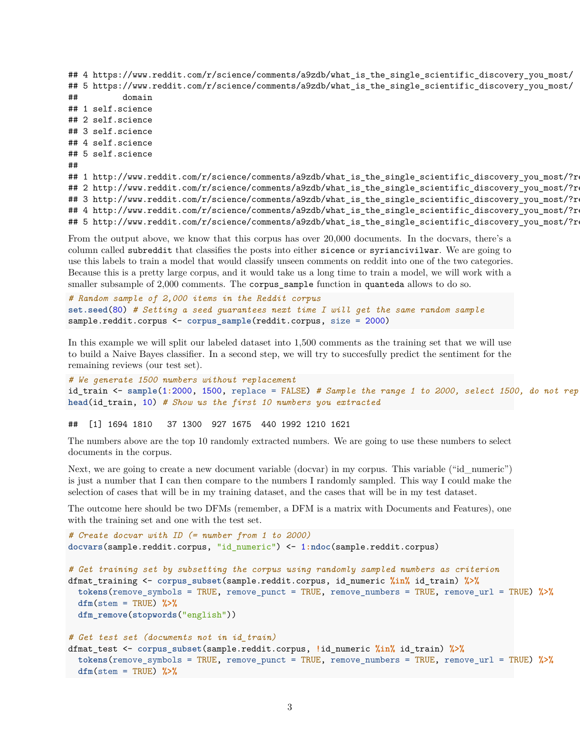```
## 4 https://www.reddit.com/r/science/comments/a9zdb/what is the single scientific discovery you most/
## 5 https://www.reddit.com/r/science/comments/a9zdb/what_is_the_single_scientific_discovery_you_most/
## domain
## 1 self.science
## 2 self.science
## 3 self.science
## 4 self.science
## 5 self.science
## URL
## 1 http://www.reddit.com/r/science/comments/a9zdb/what_is_the_single_scientific_discovery_you_most/?r
## 2 http://www.reddit.com/r/science/comments/a9zdb/what_is_the_single_scientific_discovery_you_most/?r
## 3 http://www.reddit.com/r/science/comments/a9zdb/what_is_the_single_scientific_discovery_you_most/?r
## 4 http://www.reddit.com/r/science/comments/a9zdb/what_is_the_single_scientific_discovery_you_most/?r
## 5 http://www.reddit.com/r/science/comments/a9zdb/what_is_the_single_scientific_discovery_you_most/?r
```
From the output above, we know that this corpus has over 20,000 documents. In the docvars, there's a column called subreddit that classifies the posts into either sicence or syriancivilwar. We are going to use this labels to train a model that would classify unseen comments on reddit into one of the two categories. Because this is a pretty large corpus, and it would take us a long time to train a model, we will work with a smaller subsample of 2,000 comments. The corpus\_sample function in quanteda allows to do so.

```
# Random sample of 2,000 items in the Reddit corpus
set.seed(80) # Setting a seed guarantees next time I will get the same random sample
sample.reddit.corpus <- corpus_sample(reddit.corpus, size = 2000)
```
In this example we will split our labeled dataset into 1,500 comments as the training set that we will use to build a Naive Bayes classifier. In a second step, we will try to succesfully predict the sentiment for the remaining reviews (our test set).

```
# We generate 1500 numbers without replacement
id_train <- sample(1:2000, 1500, replace = FALSE) # Sample the range 1 to 2000, select 1500, do not rep
head(id_train, 10) # Show us the first 10 numbers you extracted
```
## [1] 1694 1810 37 1300 927 1675 440 1992 1210 1621

The numbers above are the top 10 randomly extracted numbers. We are going to use these numbers to select documents in the corpus.

Next, we are going to create a new document variable (docvar) in my corpus. This variable ("id\_numeric") is just a number that I can then compare to the numbers I randomly sampled. This way I could make the selection of cases that will be in my training dataset, and the cases that will be in my test dataset.

The outcome here should be two DFMs (remember, a DFM is a matrix with Documents and Features), one with the training set and one with the test set.

```
# Create docvar with ID (= number from 1 to 2000)
docvars(sample.reddit.corpus, "id_numeric") <- 1:ndoc(sample.reddit.corpus)
# Get training set by subsetting the corpus using randomly sampled numbers as criterion
dfmat_training <- corpus_subset(sample.reddit.corpus, id_numeric %in% id_train) %>%
  tokens(remove_symbols = TRUE, remove_punct = TRUE, remove_numbers = TRUE, remove_url = TRUE) %>%
  dfm(stem = TRUE) %>%
  dfm_remove(stopwords("english"))
# Get test set (documents not in id_train)
dfmat_test <- corpus_subset(sample.reddit.corpus, !id_numeric %in% id_train) %>%
  tokens(remove_symbols = TRUE, remove_punct = TRUE, remove_numbers = TRUE, remove_url = TRUE) %>%
  dfm(stem = TRUE) %>%
```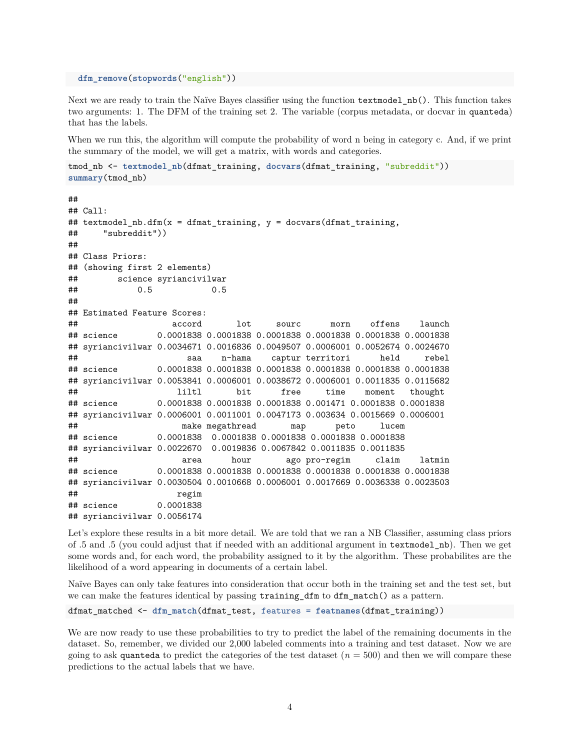**dfm\_remove**(**stopwords**("english"))

Next we are ready to train the Naïve Bayes classifier using the function textmodel\_nb(). This function takes two arguments: 1. The DFM of the training set 2. The variable (corpus metadata, or docvar in quanteda) that has the labels.

When we run this, the algorithm will compute the probability of word n being in category c. And, if we print the summary of the model, we will get a matrix, with words and categories.

```
tmod_nb <- textmodel_nb(dfmat_training, docvars(dfmat_training, "subreddit"))
summary(tmod_nb)
```

```
##
## Call:
## textmodel_nb.dfm(x = dfmat_training, y = docvars(dfmat_training,
## "subreddit"))
##
## Class Priors:
## (showing first 2 elements)
## science syriancivilwar
## 0.5 0.5
##
## Estimated Feature Scores:
## accord lot sourc morn offens launch
## science 0.0001838 0.0001838 0.0001838 0.0001838 0.0001838 0.0001838
## syriancivilwar 0.0034671 0.0016836 0.0049507 0.0006001 0.0052674 0.0024670
## saa n-hama captur territori held rebel
## science 0.0001838 0.0001838 0.0001838 0.0001838 0.0001838 0.0001838
## syriancivilwar 0.0053841 0.0006001 0.0038672 0.0006001 0.0011835 0.0115682
## liltl bit free time moment thought
## science 0.0001838 0.0001838 0.0001838 0.001471 0.0001838 0.0001838
## syriancivilwar 0.0006001 0.0011001 0.0047173 0.003634 0.0015669 0.0006001
## make megathread map peto lucem
## science 0.0001838 0.0001838 0.0001838 0.0001838 0.0001838
## syriancivilwar 0.0022670 0.0019836 0.0067842 0.0011835 0.0011835
## area hour ago pro-regim claim latmin
## science 0.0001838 0.0001838 0.0001838 0.0001838 0.0001838 0.0001838
## syriancivilwar 0.0030504 0.0010668 0.0006001 0.0017669 0.0036338 0.0023503
## regim
## science 0.0001838
## syriancivilwar 0.0056174
```
Let's explore these results in a bit more detail. We are told that we ran a NB Classifier, assuming class priors of .5 and .5 (you could adjust that if needed with an additional argument in textmodel\_nb). Then we get some words and, for each word, the probability assigned to it by the algorithm. These probabilites are the likelihood of a word appearing in documents of a certain label.

Naïve Bayes can only take features into consideration that occur both in the training set and the test set, but we can make the features identical by passing training\_dfm to dfm\_match() as a pattern.

dfmat\_matched <- **dfm\_match**(dfmat\_test, features = **featnames**(dfmat\_training))

We are now ready to use these probabilities to try to predict the label of the remaining documents in the dataset. So, remember, we divided our 2,000 labeled comments into a training and test dataset. Now we are going to ask quanteda to predict the categories of the test dataset  $(n = 500)$  and then we will compare these predictions to the actual labels that we have.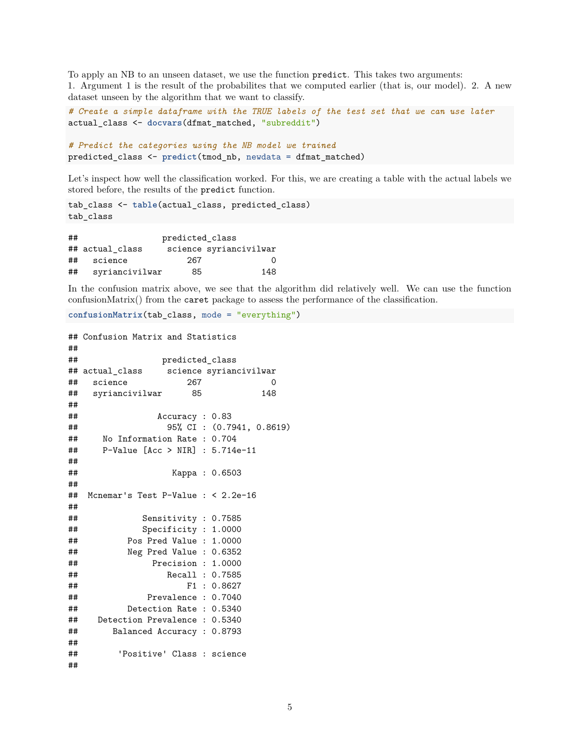To apply an NB to an unseen dataset, we use the function predict. This takes two arguments: 1. Argument 1 is the result of the probabilites that we computed earlier (that is, our model). 2. A new dataset unseen by the algorithm that we want to classify.

```
# Create a simple dataframe with the TRUE labels of the test set that we can use later
actual_class <- docvars(dfmat_matched, "subreddit")
```

```
# Predict the categories using the NB model we trained
predicted_class <- predict(tmod_nb, newdata = dfmat_matched)
```
Let's inspect how well the classification worked. For this, we are creating a table with the actual labels we stored before, the results of the predict function.

```
tab_class <- table(actual_class, predicted_class)
tab_class
```

| ## | predicted class |     |                        |  |
|----|-----------------|-----|------------------------|--|
|    | ## actual class |     | science syriancivilwar |  |
| ## | science         | 267 | $\theta$               |  |
| ## | syriancivilwar  | 85  | 148                    |  |

In the confusion matrix above, we see that the algorithm did relatively well. We can use the function confusionMatrix() from the caret package to assess the performance of the classification.

```
confusionMatrix(tab_class, mode = "everything")
```

```
## Confusion Matrix and Statistics
##
## predicted_class
## actual_class science syriancivilwar
## science 267 0
## syriancivilwar 85 148
##
## Accuracy : 0.83
## 95% CI : (0.7941, 0.8619)
## No Information Rate : 0.704
## P-Value [Acc > NIR] : 5.714e-11
##
## Kappa : 0.6503
##
## Mcnemar's Test P-Value : < 2.2e-16
##
## Sensitivity : 0.7585
## Specificity : 1.0000
## Pos Pred Value : 1.0000
## Neg Pred Value : 0.6352
## Precision : 1.0000
## Recall : 0.7585
## F1 : 0.8627
## Prevalence : 0.7040
## Detection Rate : 0.5340
## Detection Prevalence : 0.5340
## Balanced Accuracy : 0.8793
##
## 'Positive' Class : science
##
```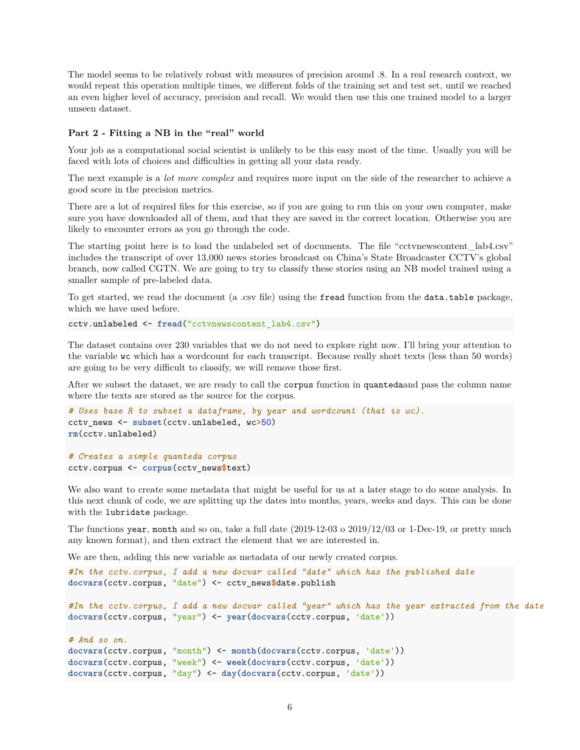The model seems to be relatively robust with measures of precision around .8. In a real research context, we would repeat this operation multiple times, we different folds of the training set and test set, until we reached an even higher level of accuracy, precision and recall. We would then use this one trained model to a larger unseen dataset.

# **Part 2 - Fitting a NB in the "real" world**

Your job as a computational social scientist is unlikely to be this easy most of the time. Usually you will be faced with lots of choices and difficulties in getting all your data ready.

The next example is a *lot more complex* and requires more input on the side of the researcher to achieve a good score in the precision metrics.

There are a lot of required files for this exercise, so if you are going to run this on your own computer, make sure you have downloaded all of them, and that they are saved in the correct location. Otherwise you are likely to encounter errors as you go through the code.

The starting point here is to load the unlabeled set of documents. The file "cctvnewscontent\_lab4.csv" includes the transcript of over 13,000 news stories broadcast on China's State Broadcaster CCTV's global branch, now called CGTN. We are going to try to classify these stories using an NB model trained using a smaller sample of pre-labeled data.

To get started, we read the document (a .csv file) using the fread function from the data.table package, which we have used before.

```
cctv.unlabeled <- fread("cctvnewscontent_lab4.csv")
```
The dataset contains over 230 variables that we do not need to explore right now. I'll bring your attention to the variable wc which has a wordcount for each transcript. Because really short texts (less than 50 words) are going to be very difficult to classify, we will remove those first.

After we subset the dataset, we are ready to call the corpus function in quantedaand pass the column name where the texts are stored as the source for the corpus.

```
# Uses base R to subset a dataframe, by year and wordcount (that is wc).
cctv_news <- subset(cctv.unlabeled, wc>50)
rm(cctv.unlabeled)
```

```
# Creates a simple quanteda corpus
cctv.corpus <- corpus(cctv_news$text)
```
We also want to create some metadata that might be useful for us at a later stage to do some analysis. In this next chunk of code, we are splitting up the dates into months, years, weeks and days. This can be done with the lubridate package.

The functions year, month and so on, take a full date  $(2019-12-03)$  o  $2019/12/03$  or 1-Dec-19, or pretty much any known format), and then extract the element that we are interested in.

We are then, adding this new variable as metadata of our newly created corpus.

```
#In the cctv.corpus, I add a new docvar called "date" which has the published date
docvars(cctv.corpus, "date") <- cctv_news$date.publish
#In the cctv.corpus, I add a new docvar called "year" which has the year extracted from the date
docvars(cctv.corpus, "year") <- year(docvars(cctv.corpus, 'date'))
# And so on.
docvars(cctv.corpus, "month") <- month(docvars(cctv.corpus, 'date'))
docvars(cctv.corpus, "week") <- week(docvars(cctv.corpus, 'date'))
docvars(cctv.corpus, "day") <- day(docvars(cctv.corpus, 'date'))
```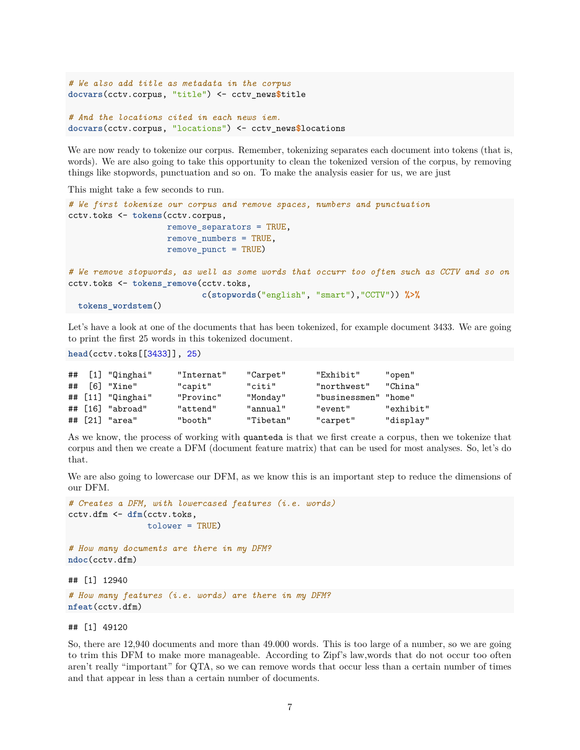```
# We also add title as metadata in the corpus
docvars(cctv.corpus, "title") <- cctv_news$title
# And the locations cited in each news iem.
docvars(cctv.corpus, "locations") <- cctv_news$locations
```
We are now ready to tokenize our corpus. Remember, tokenizing separates each document into tokens (that is, words). We are also going to take this opportunity to clean the tokenized version of the corpus, by removing things like stopwords, punctuation and so on. To make the analysis easier for us, we are just

```
This might take a few seconds to run.
```

```
# We first tokenize our corpus and remove spaces, numbers and punctuation
cctv.toks <- tokens(cctv.corpus,
                    remove_separators = TRUE,
                    remove_numbers = TRUE,
                    remove_punct = TRUE)
# We remove stopwords, as well as some words that occurr too often such as CCTV and so on
cctv.toks <- tokens_remove(cctv.toks,
                           c(stopwords("english", "smart"),"CCTV")) %>%
```

```
tokens_wordstem()
```
Let's have a look at one of the documents that has been tokenized, for example document 3433. We are going to print the first 25 words in this tokenized document.

**head**(cctv.toks[[3433]], 25)

| ## |     | $[1]$ "Qinghai"        | "Internat" | "Carpet"  | "Exhibit"     | "open"    |
|----|-----|------------------------|------------|-----------|---------------|-----------|
| ## | [6] | "Xine"                 | "capit"    | "citi"    | "northwest"   | "China"   |
|    |     | ## [11] "Qinghai"      | "Provinc"  | "Monday"  | "businessmen" | "home"    |
|    |     | $\#$ # $[16]$ "abroad" | "attend"   | "annual"  | "event"       | "exhibit" |
|    |     | $\#$ $[21]$ "area"     | "booth"    | "Tibetan" | "carpet"      | "display" |

As we know, the process of working with quanteda is that we first create a corpus, then we tokenize that corpus and then we create a DFM (document feature matrix) that can be used for most analyses. So, let's do that.

We are also going to lowercase our DFM, as we know this is an important step to reduce the dimensions of our DFM.

```
# Creates a DFM, with lowercased features (i.e. words)
cctv.dfm <- dfm(cctv.toks,
                tolower = TRUE)
```
*# How many documents are there in my DFM?* **ndoc**(cctv.dfm)

## [1] 12940

```
# How many features (i.e. words) are there in my DFM?
nfeat(cctv.dfm)
```
### ## [1] 49120

So, there are 12,940 documents and more than 49.000 words. This is too large of a number, so we are going to trim this DFM to make more manageable. According to Zipf's law,words that do not occur too often aren't really "important" for QTA, so we can remove words that occur less than a certain number of times and that appear in less than a certain number of documents.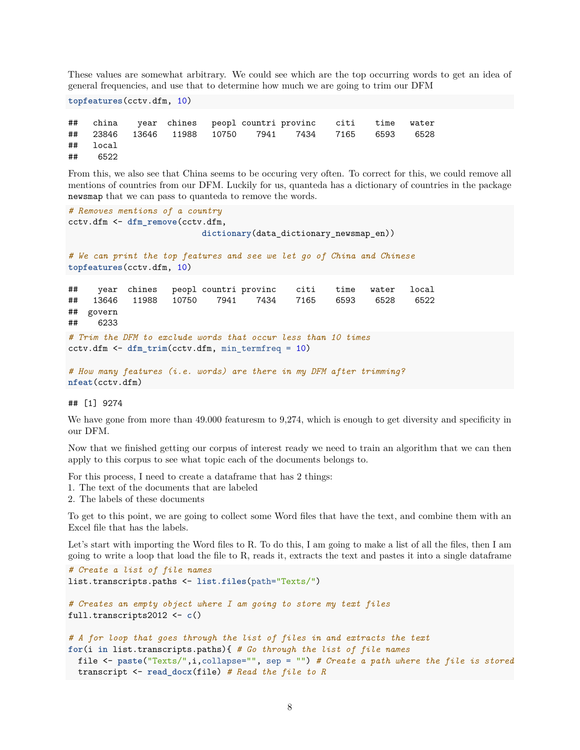These values are somewhat arbitrary. We could see which are the top occurring words to get an idea of general frequencies, and use that to determine how much we are going to trim our DFM

**topfeatures**(cctv.dfm, 10)

## china year chines peopl countri provinc citi time water ## 23846 13646 11988 10750 7941 7434 7165 6593 6528 ## local ## 6522

From this, we also see that China seems to be occuring very often. To correct for this, we could remove all mentions of countries from our DFM. Luckily for us, quanteda has a dictionary of countries in the package newsmap that we can pass to quanteda to remove the words.

```
# Removes mentions of a country
cctv.dfm <- dfm_remove(cctv.dfm,
                        dictionary(data_dictionary_newsmap_en))
# We can print the top features and see we let go of China and Chinese
topfeatures(cctv.dfm, 10)
## year chines peopl countri provinc citi time water local
## 13646 11988 10750 7941 7434 7165 6593 6528 6522
## govern
## 6233
# Trim the DFM to exclude words that occur less than 10 times
cctv.dfm <- dfm_trim(cctv.dfm, min_termfreq = 10)
```

```
# How many features (i.e. words) are there in my DFM after trimming?
nfeat(cctv.dfm)
```
# ## [1] 9274

We have gone from more than 49.000 featuresm to 9,274, which is enough to get diversity and specificity in our DFM.

Now that we finished getting our corpus of interest ready we need to train an algorithm that we can then apply to this corpus to see what topic each of the documents belongs to.

For this process, I need to create a dataframe that has 2 things:

1. The text of the documents that are labeled

2. The labels of these documents

To get to this point, we are going to collect some Word files that have the text, and combine them with an Excel file that has the labels.

Let's start with importing the Word files to R. To do this, I am going to make a list of all the files, then I am going to write a loop that load the file to R, reads it, extracts the text and pastes it into a single dataframe

```
# Create a list of file names
list.transcripts.paths <- list.files(path="Texts/")
# Creates an empty object where I am going to store my text files
full.transcripts2012 <- c()
# A for loop that goes through the list of files in and extracts the text
for(i in list.transcripts.paths){ # Go through the list of file names
  file <- paste("Texts/",i,collapse="", sep = "") # Create a path where the file is stored
  transcript <- read_docx(file) # Read the file to R
```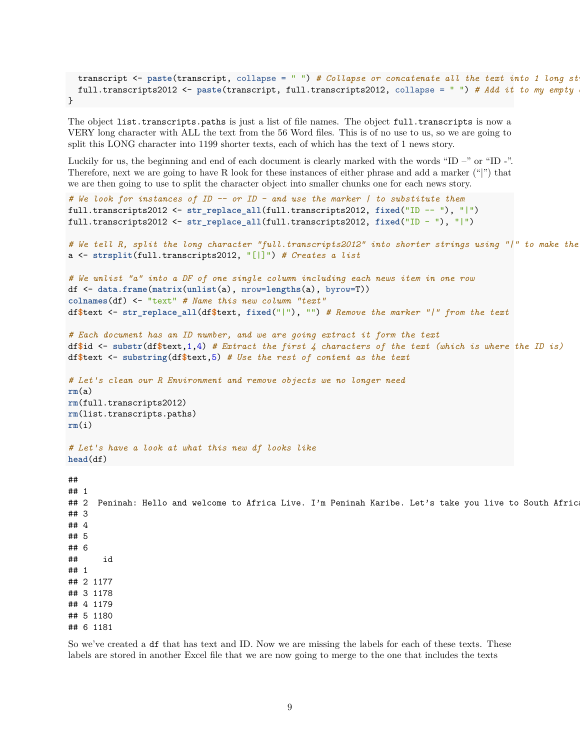```
transcript <- paste(transcript, collapse = " ") # Collapse or concatenate all the text into 1 long string
  full.transcripts2012 <- paste(transcript, full.transcripts2012, collapse = " ") # Add it to my empty object
}
```
The object list.transcripts.paths is just a list of file names. The object full.transcripts is now a VERY long character with ALL the text from the 56 Word files. This is of no use to us, so we are going to split this LONG character into 1199 shorter texts, each of which has the text of 1 news story.

Luckily for us, the beginning and end of each document is clearly marked with the words "ID –" or "ID -". Therefore, next we are going to have R look for these instances of either phrase and add a marker ("|") that we are then going to use to split the character object into smaller chunks one for each news story.

```
# We look for instances of ID -- or ID - and use the marker | to substitute them
full.transcripts2012 <- str_replace_all(full.transcripts2012, fixed("ID -- "), "|")
full.transcripts2012 <- str_replace_all(full.transcripts2012, fixed("ID - "), "|")
# We tell R, split the long character "full.transcripts2012" into shorter strings using "|" to make the cut
a <- strsplit(full.transcripts2012, "[|]") # Creates a list
# We unlist "a" into a DF of one single column including each news item in one row
df <- data.frame(matrix(unlist(a), nrow=lengths(a), byrow=T))
colnames(df) <- "text" # Name this new column "text"
df$text <- str_replace_all(df$text, fixed("|"), "") # Remove the marker "|" from the text
# Each document has an ID number, and we are going extract it form the text
df$id <- substr(df$text,1,4) # Extract the first 4 characters of the text (which is where the ID is)
df$text <- substring(df$text,5) # Use the rest of content as the text
# Let's clean our R Environment and remove objects we no longer need
rm(a)
rm(full.transcripts2012)
rm(list.transcripts.paths)
rm(i)
# Let's have a look at what this new df looks like
head(df)
## text
## 1
## 2  Peninah: Hello and welcome to Africa Live. I'm Peninah Karibe. Let's take you live to South Afric;
\# 3
\# # 4
\##5
\##6
## id
## 1
## 2 1177
## 3 1178
## 4 1179
## 5 1180
```
## 6 1181

So we've created a df that has text and ID. Now we are missing the labels for each of these texts. These labels are stored in another Excel file that we are now going to merge to the one that includes the texts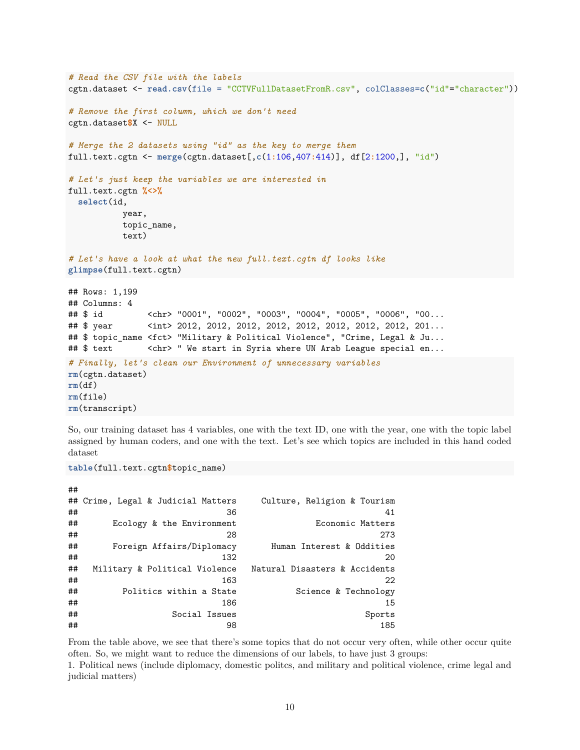```
# Read the CSV file with the labels
cgtn.dataset <- read.csv(file = "CCTVFullDatasetFromR.csv", colClasses=c("id"="character"))
# Remove the first column, which we don't need
cgtn.dataset$X <- NULL
# Merge the 2 datasets using "id" as the key to merge them
full.text.cgtn <- merge(cgtn.dataset[,c(1:106,407:414)], df[2:1200,], "id")
# Let's just keep the variables we are interested in
full.text.cgtn %<>%
  select(id,
           year,
          topic_name,
          text)
# Let's have a look at what the new full.text.cgtn df looks like
glimpse(full.text.cgtn)
## Rows: 1,199
## Columns: 4
## $ id <chr> "0001", "0002", "0003", "0004", "0005", "0006", "00...
## $ year <int> 2012, 2012, 2012, 2012, 2012, 2012, 2012, 2012, 201...
## $ topic_name <fct> "Military & Political Violence", "Crime, Legal & Ju...
## $ text <chr> " We start in Syria where UN Arab League special en...
# Finally, let's clean our Environment of unnecessary variables
rm(cgtn.dataset)
rm(df)
rm(file)
rm(transcript)
```
So, our training dataset has 4 variables, one with the text ID, one with the year, one with the topic label assigned by human coders, and one with the text. Let's see which topics are included in this hand coded dataset

```
table(full.text.cgtn$topic_name)
```

| ## |                                    |                               |
|----|------------------------------------|-------------------------------|
|    | ## Crime, Legal & Judicial Matters | Culture, Religion & Tourism   |
| ## | 36                                 | 41                            |
| ## | Ecology & the Environment          | Economic Matters              |
| ## | 28                                 | 273                           |
| ## | Foreign Affairs/Diplomacy          | Human Interest & Oddities     |
| ## | 132                                | 20                            |
| ## | Military & Political Violence      | Natural Disasters & Accidents |
| ## | 163                                | 22                            |
| ## | Politics within a State            | Science & Technology          |
| ## | 186                                | 15                            |
| ## | Social Issues                      | Sports                        |
| ## | 98                                 | 185                           |

From the table above, we see that there's some topics that do not occur very often, while other occur quite often. So, we might want to reduce the dimensions of our labels, to have just 3 groups:

1. Political news (include diplomacy, domestic politcs, and military and political violence, crime legal and judicial matters)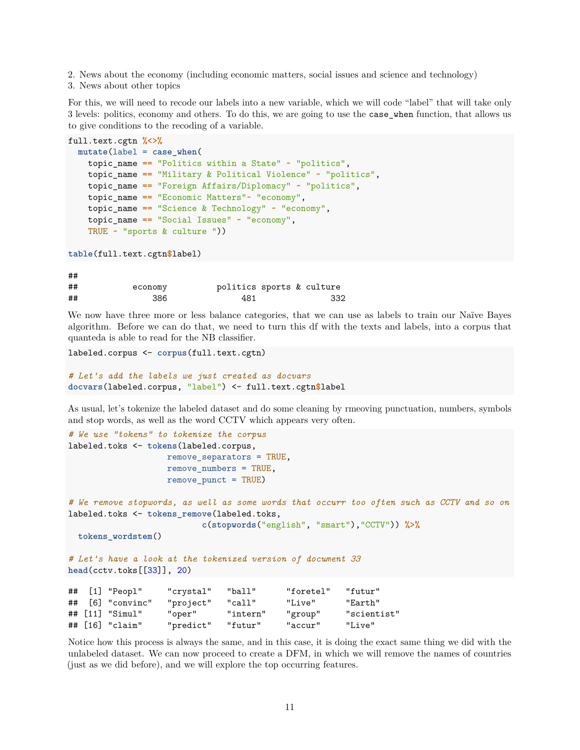2. News about the economy (including economic matters, social issues and science and technology)

3. News about other topics

For this, we will need to recode our labels into a new variable, which we will code "label" that will take only 3 levels: politics, economy and others. To do this, we are going to use the case\_when function, that allows us to give conditions to the recoding of a variable.

```
full.text.cgtn %<>%
  mutate(label = case_when(
   topic_name == "Politics within a State" ~ "politics",
   topic_name == "Military & Political Violence" ~ "politics",
   topic_name == "Foreign Affairs/Diplomacy" ~ "politics",
   topic_name == "Economic Matters"~ "economy",
   topic_name == "Science & Technology" ~ "economy",
   topic_name == "Social Issues" ~ "economy",
   TRUE ~ "sports & culture "))
```
**table**(full.text.cgtn**\$**label)

| ## |         |                           |     |
|----|---------|---------------------------|-----|
| ## | economy | politics sports & culture |     |
| ## | 386     | 481                       | 332 |

We now have three more or less balance categories, that we can use as labels to train our Naïve Bayes algorithm. Before we can do that, we need to turn this df with the texts and labels, into a corpus that quanteda is able to read for the NB classifier.

```
labeled.corpus <- corpus(full.text.cgtn)
```

```
# Let's add the labels we just created as docvars
docvars(labeled.corpus, "label") <- full.text.cgtn$label
```
As usual, let's tokenize the labeled dataset and do some cleaning by rmeoving punctuation, numbers, symbols and stop words, as well as the word CCTV which appears very often.

```
# We use "tokens" to tokenize the corpus
labeled.toks <- tokens(labeled.corpus,
                   remove_separators = TRUE,
                   remove_numbers = TRUE,
                   remove_punct = TRUE)
# We remove stopwords, as well as some words that occurr too often such as CCTV and so on
labeled.toks <- tokens_remove(labeled.toks,
                         c(stopwords("english", "smart"),"CCTV")) %>%
 tokens_wordstem()
# Let's have a look at the tokenized version of document 33
head(cctv.toks[[33]], 20)
## [1] "Peopl" "crystal" "ball" "foretel" "futur"
## [6] "convinc" "project" "call" "Live" "Earth"
```
Notice how this process is always the same, and in this case, it is doing the exact same thing we did with the unlabeled dataset. We can now proceed to create a DFM, in which we will remove the names of countries (just as we did before), and we will explore the top occurring features.

## [11] "Simul" "oper" "intern" "group" "scientist" ## [16] "claim" "predict" "futur" "accur" "Live"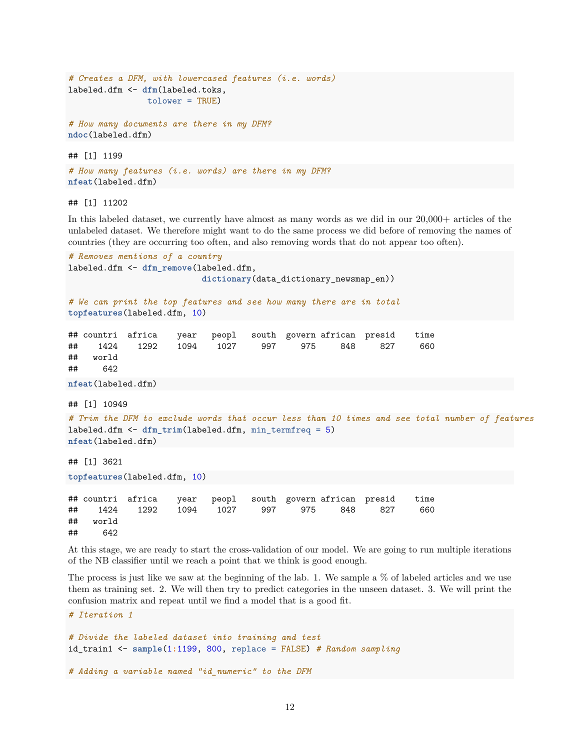```
# Creates a DFM, with lowercased features (i.e. words)
labeled.dfm <- dfm(labeled.toks,
                tolower = TRUE)
# How many documents are there in my DFM?
ndoc(labeled.dfm)
## [1] 1199
# How many features (i.e. words) are there in my DFM?
nfeat(labeled.dfm)
```
## [1] 11202

In this labeled dataset, we currently have almost as many words as we did in our  $20,000+$  articles of the unlabeled dataset. We therefore might want to do the same process we did before of removing the names of countries (they are occurring too often, and also removing words that do not appear too often).

```
# Removes mentions of a country
labeled.dfm <- dfm_remove(labeled.dfm,
                       dictionary(data_dictionary_newsmap_en))
# We can print the top features and see how many there are in total
topfeatures(labeled.dfm, 10)
## countri africa year peopl south govern african presid time
## 1424 1292 1094 1027 997 975 848 827 660
## world
## 642
nfeat(labeled.dfm)
## [1] 10949
# Trim the DFM to exclude words that occur less than 10 times and see total number of features
labeled.dfm <- dfm trim(labeled.dfm, min termfreq = 5)
nfeat(labeled.dfm)
## [1] 3621
topfeatures(labeled.dfm, 10)
## countri africa year peopl south govern african presid time
## 1424 1292 1094 1027 997 975 848 827 660
## world
## 642
```
At this stage, we are ready to start the cross-validation of our model. We are going to run multiple iterations of the NB classifier until we reach a point that we think is good enough.

The process is just like we saw at the beginning of the lab. 1. We sample a % of labeled articles and we use them as training set. 2. We will then try to predict categories in the unseen dataset. 3. We will print the confusion matrix and repeat until we find a model that is a good fit.

*# Iteration 1*

```
# Divide the labeled dataset into training and test
id_train1 <- sample(1:1199, 800, replace = FALSE) # Random sampling
```

```
# Adding a variable named "id_numeric" to the DFM
```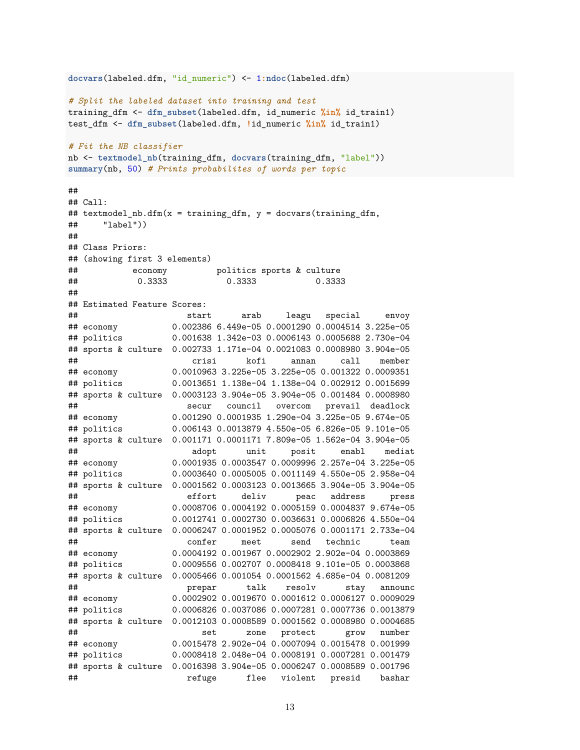```
docvars(labeled.dfm, "id_numeric") <- 1:ndoc(labeled.dfm)
# Split the labeled dataset into training and test
training dfm <- dfm subset(labeled.dfm, id numeric \frac{\pi}{6} id train1)
test_dfm <- dfm_subset(labeled.dfm, !id_numeric %in% id_train1)
# Fit the NB classifier
nb <- textmodel_nb(training_dfm, docvars(training_dfm, "label"))
summary(nb, 50) # Prints probabilites of words per topic
##
## Call:
## textmodel_nb.dfm(x = training_dfm, y = docvars(training_dfm,
## "label"))
##
## Class Priors:
## (showing first 3 elements)
## economy politics sports & culture
## 0.3333 0.3333 0.3333
##
## Estimated Feature Scores:
## start arab leagu special envoy
## economy 0.002386 6.449e-05 0.0001290 0.0004514 3.225e-05
## politics 0.001638 1.342e-03 0.0006143 0.0005688 2.730e-04
## sports & culture 0.002733 1.171e-04 0.0021083 0.0008980 3.904e-05
## crisi kofi annan call member
## economy 0.0010963 3.225e-05 3.225e-05 0.001322 0.0009351
## politics 0.0013651 1.138e-04 1.138e-04 0.002912 0.0015699
## sports & culture 0.0003123 3.904e-05 3.904e-05 0.001484 0.0008980
## secur council overcom prevail deadlock
## economy 0.001290 0.0001935 1.290e-04 3.225e-05 9.674e-05
## politics 0.006143 0.0013879 4.550e-05 6.826e-05 9.101e-05
## sports & culture 0.001171 0.0001171 7.809e-05 1.562e-04 3.904e-05
## adopt unit posit enabl mediat
## economy 0.0001935 0.0003547 0.0009996 2.257e-04 3.225e-05
## politics 0.0003640 0.0005005 0.0011149 4.550e-05 2.958e-04
## sports & culture 0.0001562 0.0003123 0.0013665 3.904e-05 3.904e-05
## effort deliv peac address press
## economy 0.0008706 0.0004192 0.0005159 0.0004837 9.674e-05
## politics 0.0012741 0.0002730 0.0036631 0.0006826 4.550e-04
## sports & culture 0.0006247 0.0001952 0.0005076 0.0001171 2.733e-04
## confer meet send technic team
## economy 0.0004192 0.001967 0.0002902 2.902e-04 0.0003869
## politics 0.0009556 0.002707 0.0008418 9.101e-05 0.0003868
## sports & culture 0.0005466 0.001054 0.0001562 4.685e-04 0.0081209
## prepar talk resolv stay announc
## economy 0.0002902 0.0019670 0.0001612 0.0006127 0.0009029
## politics 0.0006826 0.0037086 0.0007281 0.0007736 0.0013879
## sports & culture 0.0012103 0.0008589 0.0001562 0.0008980 0.0004685
## set zone protect grow number
## economy 0.0015478 2.902e-04 0.0007094 0.0015478 0.001999
## politics 0.0008418 2.048e-04 0.0008191 0.0007281 0.001479
## sports & culture 0.0016398 3.904e-05 0.0006247 0.0008589 0.001796
## refuge flee violent presid bashar
```

```
13
```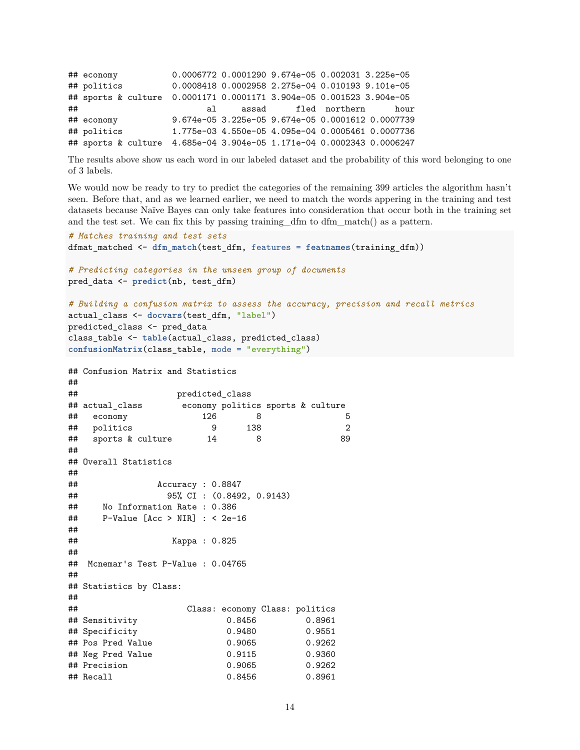|    | ## economy                                                            |     | 0.0006772 0.0001290 9.674e-05 0.002031 3.225e-05 |                                                   |
|----|-----------------------------------------------------------------------|-----|--------------------------------------------------|---------------------------------------------------|
|    | ## politics                                                           |     | 0.0008418 0.0002958 2.275e-04 0.010193 9.101e-05 |                                                   |
|    | ## sports & culture 0.0001171 0.0001171 3.904e-05 0.001523 3.904e-05  |     |                                                  |                                                   |
| ## |                                                                       | al. | assad fled northern                              | hour                                              |
|    | ## economy                                                            |     |                                                  | 9.674e-05 3.225e-05 9.674e-05 0.0001612 0.0007739 |
|    | ## politics                                                           |     |                                                  | 1.775e-03 4.550e-05 4.095e-04 0.0005461 0.0007736 |
|    | ## sports & culture 4.685e-04 3.904e-05 1.171e-04 0.0002343 0.0006247 |     |                                                  |                                                   |

The results above show us each word in our labeled dataset and the probability of this word belonging to one of 3 labels.

We would now be ready to try to predict the categories of the remaining 399 articles the algorithm hasn't seen. Before that, and as we learned earlier, we need to match the words appering in the training and test datasets because Naïve Bayes can only take features into consideration that occur both in the training set and the test set. We can fix this by passing training\_dfm to dfm\_match() as a pattern.

```
# Matches training and test sets
dfmat_matched <- dfm_match(test_dfm, features = featnames(training_dfm))
# Predicting categories in the unseen group of documents
pred_data <- predict(nb, test_dfm)
# Building a confusion matrix to assess the accuracy, precision and recall metrics
actual_class <- docvars(test_dfm, "label")
predicted_class <- pred_data
class_table <- table(actual_class, predicted_class)
confusionMatrix(class_table, mode = "everything")
## Confusion Matrix and Statistics
##
## predicted_class
## actual_class economy politics sports & culture
## economy 126 8 5
## politics 9 138 2
## sports & culture 14 8 89
##
## Overall Statistics
##
## Accuracy : 0.8847
## 95% CI : (0.8492, 0.9143)
## No Information Rate : 0.386
## P-Value [Acc > NIR] : < 2e-16
##
## Kappa : 0.825
##
## Mcnemar's Test P-Value : 0.04765
##
## Statistics by Class:
##
## Class: economy Class: politics
## Sensitivity 0.8456 0.8961
## Specificity 0.9480 0.9551
## Pos Pred Value 0.9065 0.9262
## Neg Pred Value 0.9115 0.9360
## Precision 0.9065 0.9262
## Recall 0.8456 0.8961
```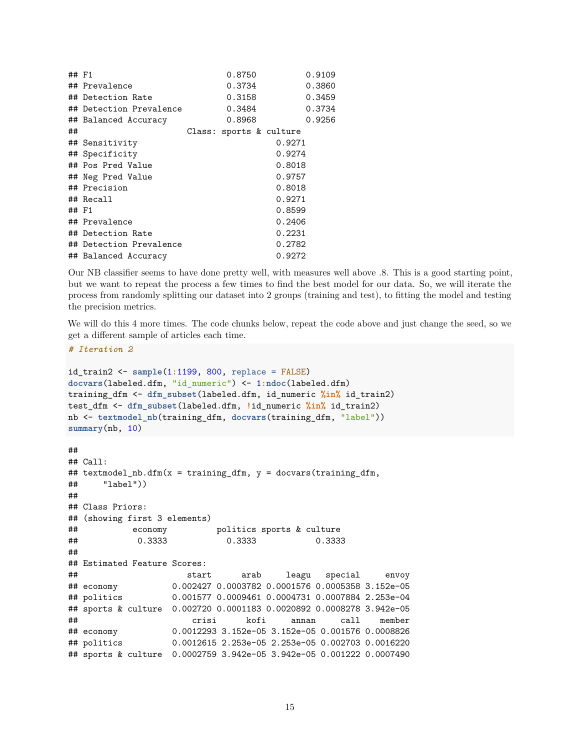| ## F1 |                         | 0.8750                  |        | 0.9109 |
|-------|-------------------------|-------------------------|--------|--------|
|       | ## Prevalence           | 0.3734                  |        | 0.3860 |
|       | ## Detection Rate       | 0.3158                  |        | 0.3459 |
|       | ## Detection Prevalence | 0.3484                  |        | 0.3734 |
|       | ## Balanced Accuracy    | 0.8968                  |        | 0.9256 |
| ##    |                         | Class: sports & culture |        |        |
|       | ## Sensitivity          |                         | 0.9271 |        |
|       | ## Specificity          |                         | 0.9274 |        |
|       | ## Pos Pred Value       |                         | 0.8018 |        |
|       | ## Neg Pred Value       |                         | 0.9757 |        |
|       | ## Precision            |                         | 0.8018 |        |
|       | ## Recall               |                         | 0.9271 |        |
|       | ## F1                   |                         | 0.8599 |        |
|       | ## Prevalence           |                         | 0.2406 |        |
|       | ## Detection Rate       |                         | 0.2231 |        |
|       | ## Detection Prevalence |                         | 0.2782 |        |
|       | ## Balanced Accuracy    |                         | 0.9272 |        |

Our NB classifier seems to have done pretty well, with measures well above .8. This is a good starting point, but we want to repeat the process a few times to find the best model for our data. So, we will iterate the process from randomly splitting our dataset into 2 groups (training and test), to fitting the model and testing the precision metrics.

We will do this 4 more times. The code chunks below, repeat the code above and just change the seed, so we get a different sample of articles each time.

```
# Iteration 2
```

```
id_train2 <- sample(1:1199, 800, replace = FALSE)
docvars(labeled.dfm, "id_numeric") <- 1:ndoc(labeled.dfm)
training_dfm <- dfm_subset(labeled.dfm, id_numeric %in% id_train2)
test_dfm <- dfm_subset(labeled.dfm, !id_numeric %in% id_train2)
nb <- textmodel_nb(training_dfm, docvars(training_dfm, "label"))
summary(nb, 10)
```

```
##
## Call:
## textmodel_nb.dfm(x = training_dfm, y = docvars(training_dfm,
## "label"))
##
## Class Priors:
## (showing first 3 elements)
## economy politics sports & culture
## 0.3333 0.3333 0.3333
##
## Estimated Feature Scores:
## start arab leagu special envoy
## economy 0.002427 0.0003782 0.0001576 0.0005358 3.152e-05
## politics 0.001577 0.0009461 0.0004731 0.0007884 2.253e-04
## sports & culture 0.002720 0.0001183 0.0020892 0.0008278 3.942e-05
## crisi kofi annan call member
## economy 0.0012293 3.152e-05 3.152e-05 0.001576 0.0008826
## politics 0.0012615 2.253e-05 2.253e-05 0.002703 0.0016220
## sports & culture 0.0002759 3.942e-05 3.942e-05 0.001222 0.0007490
```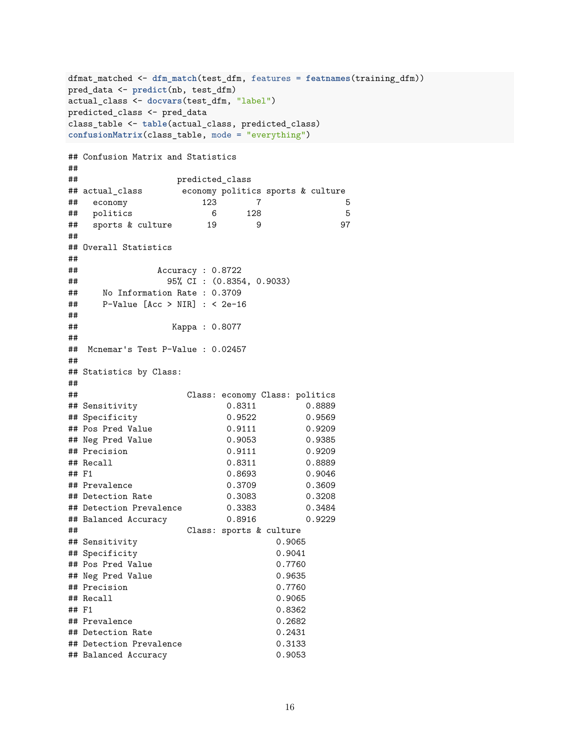```
dfmat_matched <- dfm_match(test_dfm, features = featnames(training_dfm))
pred_data <- predict(nb, test_dfm)
actual_class <- docvars(test_dfm, "label")
predicted_class <- pred_data
class_table <- table(actual_class, predicted_class)
confusionMatrix(class_table, mode = "everything")
## Confusion Matrix and Statistics
##
## predicted_class
## actual_class economy politics sports & culture
## economy 123 7 5
## politics 6 128 5
## sports & culture 19 9 97
##
## Overall Statistics
##
## Accuracy : 0.8722
             95% CI : (0.8354, 0.9033)
## No Information Rate : 0.3709
## P-Value [Acc > NIR] : < 2e-16
##
## Kappa : 0.8077
##
## Mcnemar's Test P-Value : 0.02457
##
## Statistics by Class:
##
## Class: economy Class: politics
## Sensitivity 0.8311 0.8889
## Specificity 0.9522 0.9569
## Pos Pred Value 0.9111 0.9209
## Neg Pred Value 0.9053 0.9385
## Precision 0.9111 0.9209
## Recall 0.8311 0.8889<br>## F1 0.8693 0.9046
                   0.8693 0.9046
## Prevalence 0.3709 0.3609
## Detection Rate 0.3083 0.3208
## Detection Prevalence 0.3383 0.3484
## Balanced Accuracy 0.8916 0.9229
## Class: sports & culture
## Sensitivity 0.9065
## Specificity 0.9041
## Pos Pred Value 0.7760
## Neg Pred Value 0.9635
## Precision 0.7760
## Recall 0.9065
## F1 0.8362
## Prevalence 0.2682
## Detection Rate 0.2431
## Detection Prevalence 0.3133
## Balanced Accuracy 0.9053
```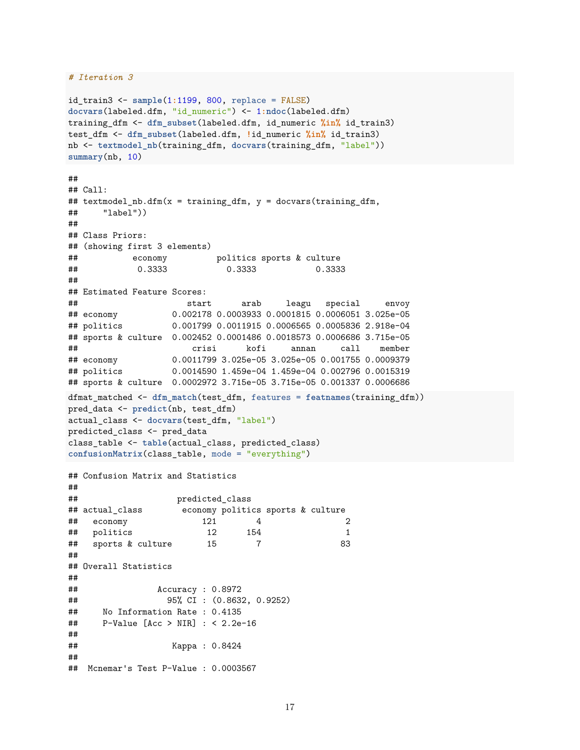```
# Iteration 3
```

```
id_train3 <- sample(1:1199, 800, replace = FALSE)
docvars(labeled.dfm, "id_numeric") <- 1:ndoc(labeled.dfm)
training_dfm <- dfm_subset(labeled.dfm, id_numeric %in% id_train3)
test_dfm <- dfm_subset(labeled.dfm, !id_numeric %in% id_train3)
nb <- textmodel_nb(training_dfm, docvars(training_dfm, "label"))
summary(nb, 10)
```
#### ##

```
## Call:
## textmodel_nb.dfm(x = training_dfm, y = docvars(training_dfm,
## "label"))
##
## Class Priors:
## (showing first 3 elements)
## economy politics sports & culture
## 0.3333 0.3333 0.3333
##
## Estimated Feature Scores:
## start arab leagu special envoy
## economy 0.002178 0.0003933 0.0001815 0.0006051 3.025e-05
## politics 0.001799 0.0011915 0.0006565 0.0005836 2.918e-04
## sports & culture 0.002452 0.0001486 0.0018573 0.0006686 3.715e-05
## crisi kofi annan call member
## economy 0.0011799 3.025e-05 3.025e-05 0.001755 0.0009379
## politics 0.0014590 1.459e-04 1.459e-04 0.002796 0.0015319
## sports & culture 0.0002972 3.715e-05 3.715e-05 0.001337 0.0006686
dfmat_matched <- dfm_match(test_dfm, features = featnames(training_dfm))
pred_data <- predict(nb, test_dfm)
actual_class <- docvars(test_dfm, "label")
predicted_class <- pred_data
class_table <- table(actual_class, predicted_class)
confusionMatrix(class_table, mode = "everything")
```

```
## Confusion Matrix and Statistics
##
## predicted_class
## actual_class economy politics sports & culture
## economy 121 4 2
## politics 12 154 1
## sports & culture 15 7 83
##
## Overall Statistics
##
## Accuracy : 0.8972
## 95% CI : (0.8632, 0.9252)
## No Information Rate : 0.4135
\# P-Value \lceilAcc > NIR] : < 2.2e-16
##
## Kappa : 0.8424
##
## Mcnemar's Test P-Value : 0.0003567
```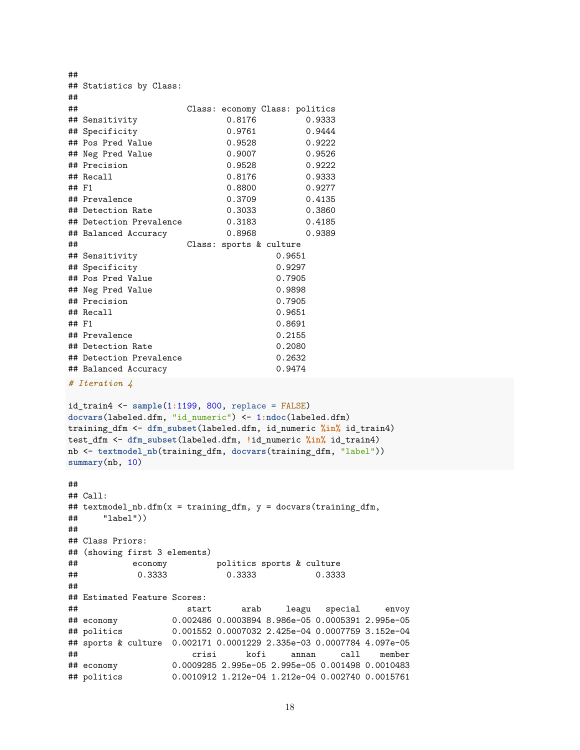## ## Statistics by Class: ## ## Class: economy Class: politics ## Sensitivity 0.8176 0.9333 ## Specificity 0.9761 0.9444 ## Pos Pred Value 0.9528 0.9222 ## Neg Pred Value 0.9007 0.9526 ## Precision 0.9528 0.9222 ## Recall 0.8176 0.9333 ## F1 0.8800 0.9277 ## Prevalence 0.3709 0.4135 ## Detection Rate 0.3033 0.3860 ## Detection Prevalence 0.3183 0.4185 ## Balanced Accuracy 0.8968 0.9389 ## Class: sports & culture ## Sensitivity 0.9651 ## Specificity 0.9297 ## Pos Pred Value 0.7905 ## Neg Pred Value 0.9898 ## Precision 0.7905 ## Recall 0.9651 ## F1 0.8691 ## Prevalence 0.2155 ## Detection Rate 0.2080 ## Detection Prevalence 0.2632 ## Balanced Accuracy 0.9474 *# Iteration 4* id\_train4 <- **sample**(1**:**1199, 800, replace = FALSE) **docvars**(labeled.dfm, "id\_numeric") <- 1**:ndoc**(labeled.dfm) training\_dfm <- **dfm\_subset**(labeled.dfm, id\_numeric **%in%** id\_train4) test\_dfm <- **dfm\_subset**(labeled.dfm, **!**id\_numeric **%in%** id\_train4) nb <- **textmodel\_nb**(training\_dfm, **docvars**(training\_dfm, "label")) **summary**(nb, 10) ## ## Call: ## textmodel nb.dfm(x = training dfm, y = docvars(training dfm, ## "label")) ## ## Class Priors: ## (showing first 3 elements) ## economy politics sports & culture ## 0.3333 0.3333 0.3333 ## ## Estimated Feature Scores:

## start arab leagu special envoy ## economy 0.002486 0.0003894 8.986e-05 0.0005391 2.995e-05 ## politics 0.001552 0.0007032 2.425e-04 0.0007759 3.152e-04 ## sports & culture 0.002171 0.0001229 2.335e-03 0.0007784 4.097e-05 ## crisi kofi annan call member ## economy 0.0009285 2.995e-05 2.995e-05 0.001498 0.0010483 ## politics 0.0010912 1.212e-04 1.212e-04 0.002740 0.0015761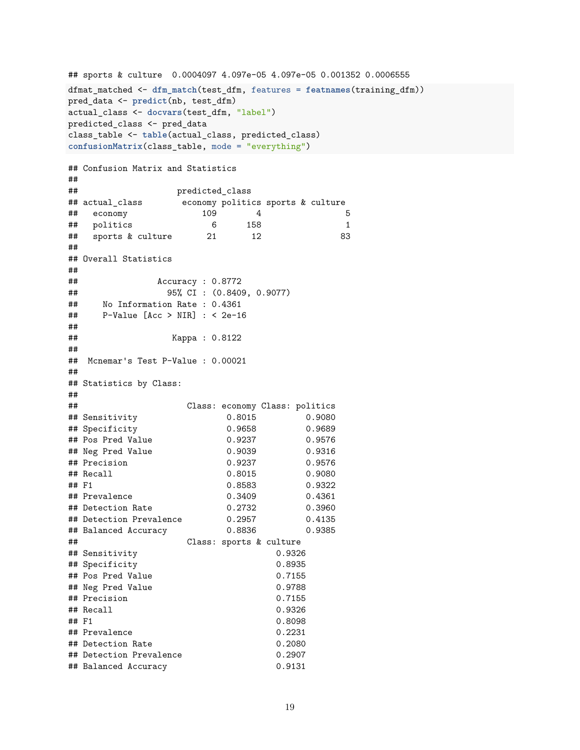```
## sports & culture 0.0004097 4.097e-05 4.097e-05 0.001352 0.0006555
dfmat_matched <- dfm_match(test_dfm, features = featnames(training_dfm))
pred_data <- predict(nb, test_dfm)
actual_class <- docvars(test_dfm, "label")
predicted_class <- pred_data
class_table <- table(actual_class, predicted_class)
confusionMatrix(class_table, mode = "everything")
## Confusion Matrix and Statistics
##
## predicted_class
## actual_class economy politics sports & culture
## economy 109 4 5
## politics 6 158 1
## sports & culture 21 12
##
## Overall Statistics
##<br>##
           Accuracy : 0.8772
## 95% CI : (0.8409, 0.9077)
## No Information Rate : 0.4361
## P-Value [Acc > NIR] : < 2e-16
##
## Kappa : 0.8122
##
## Mcnemar's Test P-Value : 0.00021
##
## Statistics by Class:
##
## Class: economy Class: politics
## Sensitivity 0.8015 0.9080
## Specificity 0.9658 0.9689
## Pos Pred Value 0.9237 0.9576
## Neg Pred Value 0.9039 0.9316
## Precision 0.9237 0.9576
## Recall 0.8015 0.9080
## F1 0.8583 0.9322
## Prevalence 0.3409 0.4361
## Detection Rate 0.2732 0.3960
## Detection Prevalence 0.2957 0.4135
## Balanced Accuracy 0.8836 0.9385
## Class: sports & culture
## Sensitivity 0.9326
## Specificity 0.8935
## Pos Pred Value 0.7155
## Neg Pred Value 0.9788
## Precision 0.7155
## Recall 0.9326
## F1 0.8098
## Prevalence 0.2231
## Detection Rate 0.2080
## Detection Prevalence 0.2907
## Balanced Accuracy
```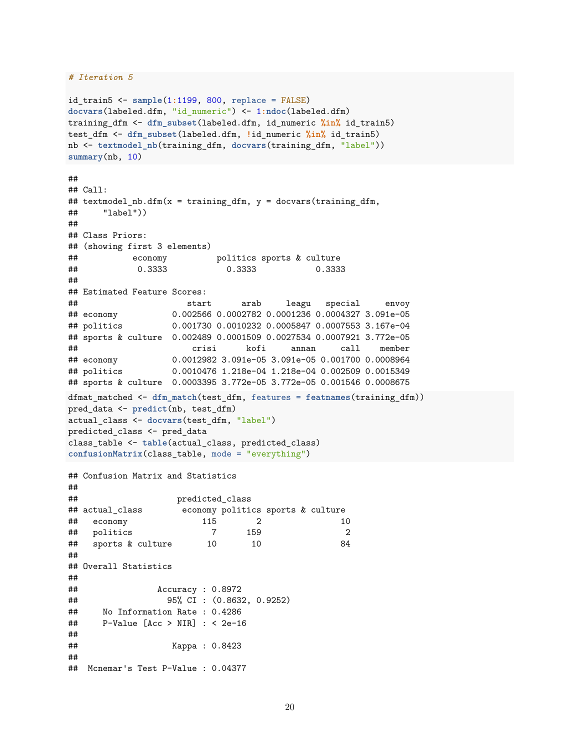```
# Iteration 5
```

```
id_train5 <- sample(1:1199, 800, replace = FALSE)
docvars(labeled.dfm, "id_numeric") <- 1:ndoc(labeled.dfm)
training_dfm <- dfm_subset(labeled.dfm, id_numeric %in% id_train5)
test_dfm <- dfm_subset(labeled.dfm, !id_numeric %in% id_train5)
nb <- textmodel_nb(training_dfm, docvars(training_dfm, "label"))
summary(nb, 10)
```
#### ##

```
## Call:
## textmodel_nb.dfm(x = training_dfm, y = docvars(training_dfm,
## "label"))
##
## Class Priors:
## (showing first 3 elements)
## economy politics sports & culture
## 0.3333 0.3333 0.3333
##
## Estimated Feature Scores:
## start arab leagu special envoy
## economy 0.002566 0.0002782 0.0001236 0.0004327 3.091e-05
## politics 0.001730 0.0010232 0.0005847 0.0007553 3.167e-04
## sports & culture 0.002489 0.0001509 0.0027534 0.0007921 3.772e-05
## crisi kofi annan call member
## economy 0.0012982 3.091e-05 3.091e-05 0.001700 0.0008964
## politics 0.0010476 1.218e-04 1.218e-04 0.002509 0.0015349
## sports & culture 0.0003395 3.772e-05 3.772e-05 0.001546 0.0008675
dfmat_matched <- dfm_match(test_dfm, features = featnames(training_dfm))
pred_data <- predict(nb, test_dfm)
actual_class <- docvars(test_dfm, "label")
predicted_class <- pred_data
class_table <- table(actual_class, predicted_class)
confusionMatrix(class_table, mode = "everything")
```

```
## Confusion Matrix and Statistics
##
## predicted_class
## actual_class economy politics sports & culture
## economy 115 2 10
## politics 7 159 2
## sports & culture 10 10 84
##
## Overall Statistics
##
## Accuracy : 0.8972
## 95% CI : (0.8632, 0.9252)
## No Information Rate : 0.4286
\# P-Value \lceilAcc > NIR] : < 2e-16
##
## Kappa : 0.8423
##
## Mcnemar's Test P-Value : 0.04377
```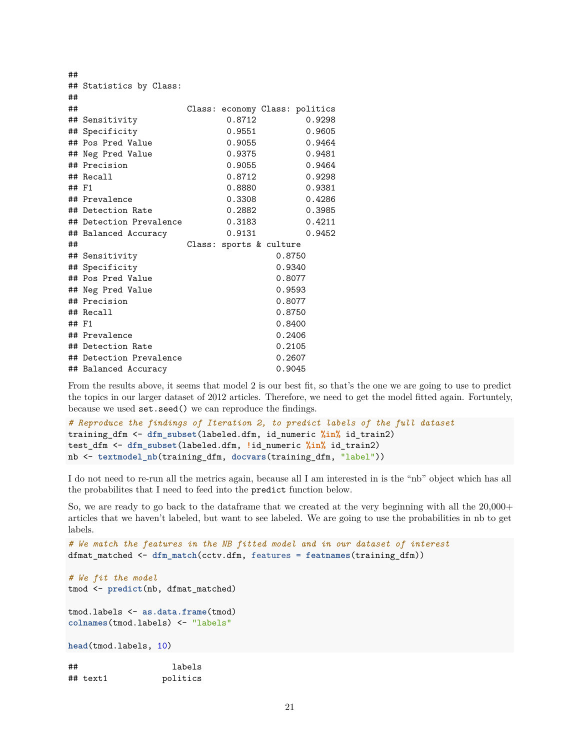| ##    |                         |                                |        |        |
|-------|-------------------------|--------------------------------|--------|--------|
|       | ## Statistics by Class: |                                |        |        |
| ##    |                         |                                |        |        |
| ##    |                         | Class: economy Class: politics |        |        |
|       | ## Sensitivity          | 0.8712                         |        | 0.9298 |
|       | ## Specificity          | 0.9551                         |        | 0.9605 |
|       | ## Pos Pred Value       | 0.9055                         |        | 0.9464 |
|       | ## Neg Pred Value       | 0.9375                         |        | 0.9481 |
|       | ## Precision            | 0.9055                         |        | 0.9464 |
|       | ## Recall               | 0.8712                         |        | 0.9298 |
| ## F1 |                         | 0.8880                         |        | 0.9381 |
|       | ## Prevalence           | 0.3308                         |        | 0.4286 |
|       | ## Detection Rate       | 0.2882                         |        | 0.3985 |
|       | ## Detection Prevalence | 0.3183                         |        | 0.4211 |
|       | ## Balanced Accuracy    | 0.9131                         |        | 0.9452 |
| ##    |                         | Class: sports & culture        |        |        |
|       | ## Sensitivity          |                                | 0.8750 |        |
|       | ## Specificity          |                                | 0.9340 |        |
|       | ## Pos Pred Value       |                                | 0.8077 |        |
|       | ## Neg Pred Value       |                                | 0.9593 |        |
|       | ## Precision            |                                | 0.8077 |        |
|       | ## Recall               |                                | 0.8750 |        |
| ## F1 |                         |                                | 0.8400 |        |
|       | ## Prevalence           |                                | 0.2406 |        |
|       | ## Detection Rate       |                                | 0.2105 |        |
|       | ## Detection Prevalence |                                | 0.2607 |        |
|       | ## Balanced Accuracy    |                                | 0.9045 |        |

From the results above, it seems that model 2 is our best fit, so that's the one we are going to use to predict the topics in our larger dataset of 2012 articles. Therefore, we need to get the model fitted again. Fortuntely, because we used set.seed() we can reproduce the findings.

```
# Reproduce the findings of Iteration 2, to predict labels of the full dataset
training_dfm <- dfm_subset(labeled.dfm, id_numeric %in% id_train2)
test_dfm <- dfm_subset(labeled.dfm, !id_numeric %in% id_train2)
nb <- textmodel_nb(training_dfm, docvars(training_dfm, "label"))
```
I do not need to re-run all the metrics again, because all I am interested in is the "nb" object which has all the probabilites that I need to feed into the predict function below.

So, we are ready to go back to the dataframe that we created at the very beginning with all the  $20,000+$ articles that we haven't labeled, but want to see labeled. We are going to use the probabilities in nb to get labels.

```
# We match the features in the NB fitted model and in our dataset of interest
dfmat_matched <- dfm_match(cctv.dfm, features = featnames(training_dfm))
```

```
# We fit the model
tmod <- predict(nb, dfmat_matched)
tmod.labels <- as.data.frame(tmod)
```

```
colnames(tmod.labels) <- "labels"
```
**head**(tmod.labels, 10)

```
## labels
## text1 politics
```